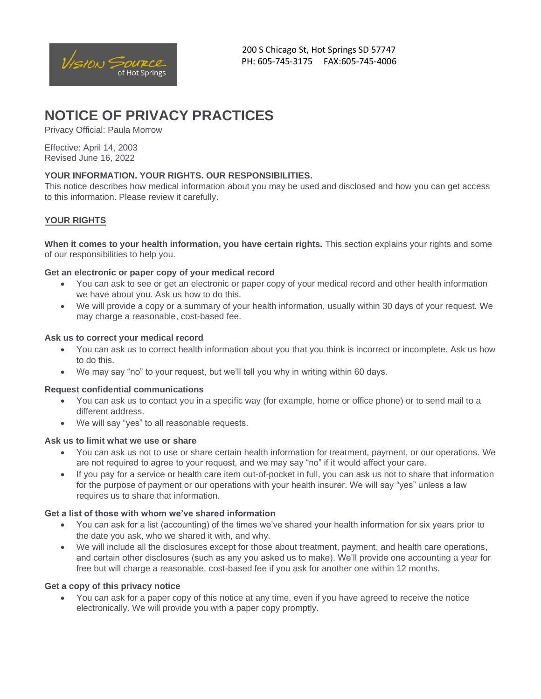

# **NOTICE OF PRIVACY PRACTICES**

Privacy Official: Paula Morrow

Effective: April 14, 2003 Revised June 16, 2022

# **YOUR INFORMATION. YOUR RIGHTS. OUR RESPONSIBILITIES.**

This notice describes how medical information about you may be used and disclosed and how you can get access to this information. Please review it carefully.

# **YOUR RIGHTS**

**When it comes to your health information, you have certain rights.** This section explains your rights and some of our responsibilities to help you.

# **Get an electronic or paper copy of your medical record**

- You can ask to see or get an electronic or paper copy of your medical record and other health information we have about you. Ask us how to do this.
- We will provide a copy or a summary of your health information, usually within 30 days of your request. We may charge a reasonable, cost-based fee.

# **Ask us to correct your medical record**

- You can ask us to correct health information about you that you think is incorrect or incomplete. Ask us how to do this.
- We may say "no" to your request, but we'll tell you why in writing within 60 days.

#### **Request confidential communications**

- You can ask us to contact you in a specific way (for example, home or office phone) or to send mail to a different address.
- We will say "yes" to all reasonable requests.

#### **Ask us to limit what we use or share**

- You can ask us not to use or share certain health information for treatment, payment, or our operations. We are not required to agree to your request, and we may say "no" if it would affect your care.
- If you pay for a service or health care item out-of-pocket in full, you can ask us not to share that information for the purpose of payment or our operations with your health insurer. We will say "yes" unless a law requires us to share that information.

#### **Get a list of those with whom we've shared information**

- You can ask for a list (accounting) of the times we've shared your health information for six years prior to the date you ask, who we shared it with, and why.
- We will include all the disclosures except for those about treatment, payment, and health care operations, and certain other disclosures (such as any you asked us to make). We'll provide one accounting a year for free but will charge a reasonable, cost-based fee if you ask for another one within 12 months.

# **Get a copy of this privacy notice**

• You can ask for a paper copy of this notice at any time, even if you have agreed to receive the notice electronically. We will provide you with a paper copy promptly.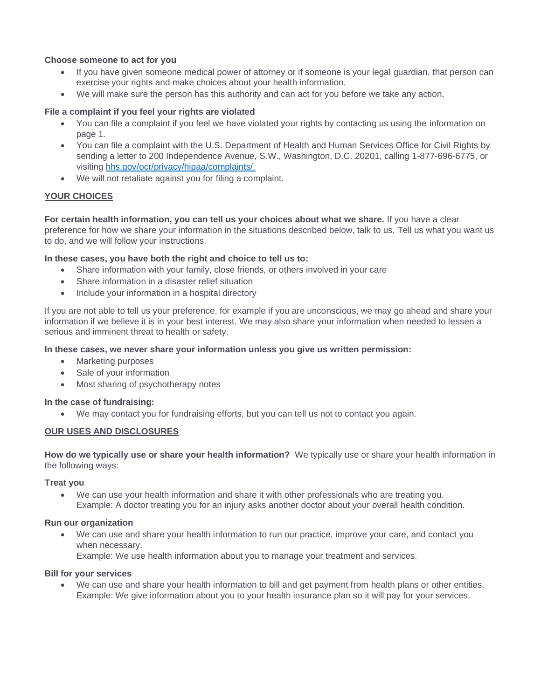# **Choose someone to act for you**

- If you have given someone medical power of attorney or if someone is your legal guardian, that person can exercise your rights and make choices about your health information.
- We will make sure the person has this authority and can act for you before we take any action.

#### **File a complaint if you feel your rights are violated**

- You can file a complaint if you feel we have violated your rights by contacting us using the information on page 1.
- You can file a complaint with the U.S. Department of Health and Human Services Office for Civil Rights by sending a letter to 200 Independence Avenue, S.W., Washington, D.C. 20201, calling 1-877-696-6775, or visitin[g hhs.gov/ocr/privacy/hipaa/complaints/.](http://www.hhs.gov/ocr/privacy/hipaa/complaints/)
- We will not retaliate against you for filing a complaint.

# **YOUR CHOICES**

**For certain health information, you can tell us your choices about what we share.** If you have a clear preference for how we share your information in the situations described below, talk to us. Tell us what you want us to do, and we will follow your instructions.

# **In these cases, you have both the right and choice to tell us to:**

- Share information with your family, close friends, or others involved in your care
- Share information in a disaster relief situation
- Include your information in a hospital directory

If you are not able to tell us your preference, for example if you are unconscious, we may go ahead and share your information if we believe it is in your best interest. We may also share your information when needed to lessen a serious and imminent threat to health or safety.

#### **In these cases, we never share your information unless you give us written permission:**

- Marketing purposes
- Sale of your information
- Most sharing of psychotherapy notes

#### **In the case of fundraising:**

• We may contact you for fundraising efforts, but you can tell us not to contact you again.

#### **OUR USES AND DISCLOSURES**

**How do we typically use or share your health information?** We typically use or share your health information in the following ways:

#### **Treat you**

• We can use your health information and share it with other professionals who are treating you. Example: A doctor treating you for an injury asks another doctor about your overall health condition.

#### **Run our organization**

• We can use and share your health information to run our practice, improve your care, and contact you when necessary.

Example: We use health information about you to manage your treatment and services.

#### **Bill for your services**

• We can use and share your health information to bill and get payment from health plans or other entities. Example: We give information about you to your health insurance plan so it will pay for your services.